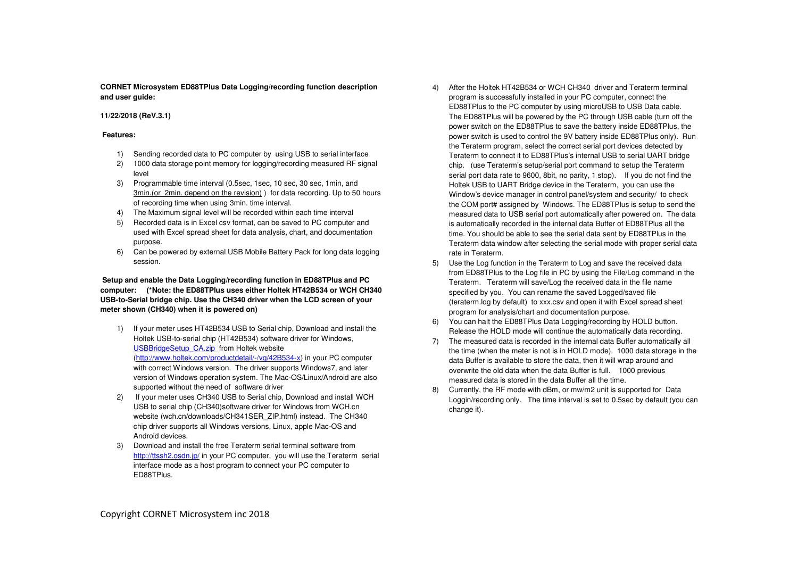**CORNET Microsystem ED88TPlus Data Logging/recording function description and user guide:** 

## **11/22/2018 (ReV.3.1)**

## **Features:**

- 1) Sending recorded data to PC computer by using USB to serial interface
- 2) 1000 data storage point memory for logging/recording measured RF signal level
- 3) Programmable time interval (0.5sec, 1sec, 10 sec, 30 sec, 1min, and 3min.(or 2min. depend on the revision) ) for data recording. Up to 50 hours of recording time when using 3min. time interval.
- 4) The Maximum signal level will be recorded within each time interval
- 5) Recorded data is in Excel csv format, can be saved to PC computer and used with Excel spread sheet for data analysis, chart, and documentation purpose.
- 6) Can be powered by external USB Mobile Battery Pack for long data logging session.

# **Setup and enable the Data Logging/recording function in ED88TPlus and PC computer: (\*Note: the ED88TPlus uses either Holtek HT42B534 or WCH CH340 USB-to-Serial bridge chip. Use the CH340 driver when the LCD screen of your meter shown (CH340) when it is powered on)**

- 1) If your meter uses HT42B534 USB to Serial chip, Download and install the Holtek USB-to-serial chip (HT42B534) software driver for Windows, USBBridgeSetup\_CA.zip from Holtek website (http://www.holtek.com/productdetail/-/vg/42B534-x) in your PC computer with correct Windows version. The driver supports Windows7, and later version of Windows operation system. The Mac-OS/Linux/Android are also supported without the need of software driver
- 2) If your meter uses CH340 USB to Serial chip, Download and install WCH USB to serial chip (CH340)software driver for Windows from WCH.cn website (wch.cn/downloads/CH341SER\_ZIP.html) instead. The CH340 chip driver supports all Windows versions, Linux, apple Mac-OS and Android devices.
- 3) Download and install the free Teraterm serial terminal software from http://ttssh2.osdn.jp/ in your PC computer, you will use the Teraterm serial interface mode as a host program to connect your PC computer to ED88TPlus.
- 4) After the Holtek HT42B534 or WCH CH340 driver and Teraterm terminal program is successfully installed in your PC computer, connect the ED88TPlus to the PC computer by using microUSB to USB Data cable. The ED88TPlus will be powered by the PC through USB cable (turn off the power switch on the ED88TPlus to save the battery inside ED88TPlus, the power switch is used to control the 9V battery inside ED88TPlus only). Run the Teraterm program, select the correct serial port devices detected by Teraterm to connect it to ED88TPlus's internal USB to serial UART bridge chip. (use Teraterm's setup/serial port command to setup the Teraterm serial port data rate to 9600, 8bit, no parity, 1 stop). If you do not find the Holtek USB to UART Bridge device in the Teraterm, you can use the Window's device manager in control panel/system and security/ to check the COM port# assigned by Windows. The ED88TPlus is setup to send the measured data to USB serial port automatically after powered on. The data is automatically recorded in the internal data Buffer of ED88TPlus all the time. You should be able to see the serial data sent by ED88TPlus in the Teraterm data window after selecting the serial mode with proper serial data rate in Teraterm.
- 5) Use the Log function in the Teraterm to Log and save the received data from ED88TPlus to the Log file in PC by using the File/Log command in the Teraterm. Teraterm will save/Log the received data in the file name specified by you. You can rename the saved Logged/saved file (teraterm.log by default) to xxx.csv and open it with Excel spread sheet program for analysis/chart and documentation purpose.
- 6) You can halt the ED88TPlus Data Logging/recording by HOLD button. Release the HOLD mode will continue the automatically data recording.
- 7) The measured data is recorded in the internal data Buffer automatically all the time (when the meter is not is in HOLD mode). 1000 data storage in the data Buffer is available to store the data, then it will wrap around and overwrite the old data when the data Buffer is full. 1000 previous measured data is stored in the data Buffer all the time.
- 8) Currently, the RF mode with dBm, or mw/m2 unit is supported for Data Loggin/recording only. The time interval is set to 0.5sec by default (you can change it).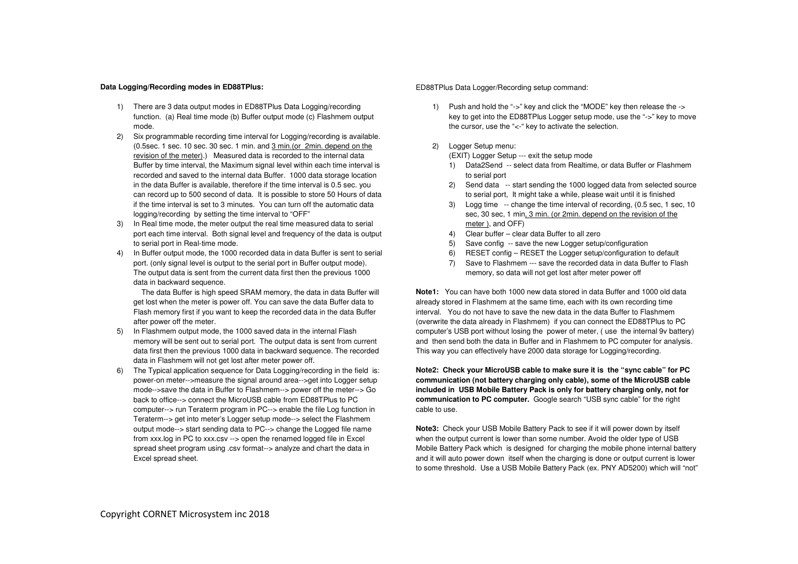### **Data Logging/Recording modes in ED88TPlus:**

- 1) There are 3 data output modes in ED88TPlus Data Logging/recording function. (a) Real time mode (b) Buffer output mode (c) Flashmem output mode.
- 2) Six programmable recording time interval for Logging/recording is available. (0.5sec. 1 sec. 10 sec. 30 sec. 1 min. and 3 min.(or 2min. depend on the revision of the meter).) Measured data is recorded to the internal data Buffer by time interval, the Maximum signal level within each time interval is recorded and saved to the internal data Buffer. 1000 data storage location in the data Buffer is available, therefore if the time interval is 0.5 sec. you can record up to 500 second of data. It is possible to store 50 Hours of data if the time interval is set to 3 minutes. You can turn off the automatic data logging/recording by setting the time interval to "OFF"
- 3) In Real time mode, the meter output the real time measured data to serial port each time interval. Both signal level and frequency of the data is output to serial port in Real-time mode.
- 4) In Buffer output mode, the 1000 recorded data in data Buffer is sent to serial port. (only signal level is output to the serial port in Buffer output mode). The output data is sent from the current data first then the previous 1000 data in backward sequence.

 The data Buffer is high speed SRAM memory, the data in data Buffer will get lost when the meter is power off. You can save the data Buffer data to Flash memory first if you want to keep the recorded data in the data Buffer after power off the meter.

- 5) In Flashmem output mode, the 1000 saved data in the internal Flash memory will be sent out to serial port. The output data is sent from current data first then the previous 1000 data in backward sequence. The recorded data in Flashmem will not get lost after meter power off.
- 6) The Typical application sequence for Data Logging/recording in the field is: power-on meter-->measure the signal around area-->get into Logger setup mode-->save the data in Buffer to Flashmem--> power off the meter--> Go back to office--> connect the MicroUSB cable from ED88TPlus to PC computer--> run Teraterm program in PC--> enable the file Log function in Teraterm--> get into meter's Logger setup mode--> select the Flashmem output mode--> start sending data to PC--> change the Logged file name from xxx.log in PC to xxx.csv --> open the renamed logged file in Excel spread sheet program using .csv format--> analyze and chart the data in Excel spread sheet.

## ED88TPlus Data Logger/Recording setup command:

- 1) Push and hold the "->" key and click the "MODE" key then release the -> key to get into the ED88TPlus Logger setup mode, use the "->" key to move the cursor, use the "<-" key to activate the selection.
- 2) Logger Setup menu:

(EXIT) Logger Setup --- exit the setup mode

- 1) Data2Send -- select data from Realtime, or data Buffer or Flashmem to serial port
- 2) Send data -- start sending the 1000 logged data from selected source to serial port, It might take a while, please wait until it is finished
- 3) Logg time -- change the time interval of recording, (0.5 sec, 1 sec, 10 sec, 30 sec, 1 min, 3 min. (or 2min. depend on the revision of the meter ), and OFF)
- 4) Clear buffer clear data Buffer to all zero
- 5) Save config -- save the new Logger setup/configuration
- 6) RESET config RESET the Logger setup/configuration to default
- 7) Save to Flashmem --- save the recorded data in data Buffer to Flash memory, so data will not get lost after meter power off

**Note1:** You can have both 1000 new data stored in data Buffer and 1000 old data already stored in Flashmem at the same time, each with its own recording time interval. You do not have to save the new data in the data Buffer to Flashmem (overwrite the data already in Flashmem) if you can connect the ED88TPlus to PC computer's USB port without losing the power of meter, ( use the internal 9v battery) and then send both the data in Buffer and in Flashmem to PC computer for analysis. This way you can effectively have 2000 data storage for Logging/recording.

**Note2: Check your MicroUSB cable to make sure it is the "sync cable" for PC communication (not battery charging only cable), some of the MicroUSB cable included in USB Mobile Battery Pack is only for battery charging only, not for communication to PC computer.** Google search "USB sync cable" for the right cable to use.

**Note3:** Check your USB Mobile Battery Pack to see if it will power down by itself when the output current is lower than some number. Avoid the older type of USB Mobile Battery Pack which is designed for charging the mobile phone internal battery and it will auto power down itself when the charging is done or output current is lower to some threshold. Use a USB Mobile Battery Pack (ex. PNY AD5200) which will "not"